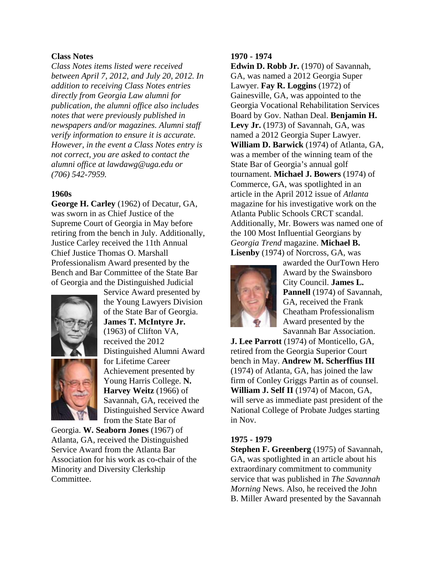# **Class Notes**

*Class Notes items listed were received between April 7, 2012, and July 20, 2012. In addition to receiving Class Notes entries directly from Georgia Law alumni for publication, the alumni office also includes notes that were previously published in newspapers and/or magazines. Alumni staff verify information to ensure it is accurate. However, in the event a Class Notes entry is not correct, you are asked to contact the alumni office at lawdawg@uga.edu or (706) 542-7959.* 

#### **1960s**

**George H. Carley** (1962) of Decatur, GA, was sworn in as Chief Justice of the Supreme Court of Georgia in May before retiring from the bench in July. Additionally, Justice Carley received the 11th Annual Chief Justice Thomas O. Marshall Professionalism Award presented by the Bench and Bar Committee of the State Bar of Georgia and the Distinguished Judicial



Service Award presented by the Young Lawyers Division of the State Bar of Georgia. **James T. McIntyre Jr.** (1963) of Clifton VA, received the 2012 Distinguished Alumni Award for Lifetime Career Achievement presented by Young Harris College. **N. Harvey Weitz** (1966) of Savannah, GA, received the Distinguished Service Award from the State Bar of

Georgia. **W. Seaborn Jones** (1967) of Atlanta, GA, received the Distinguished Service Award from the Atlanta Bar Association for his work as co-chair of the Minority and Diversity Clerkship Committee.

#### **1970 - 1974**

**Edwin D. Robb Jr.** (1970) of Savannah, GA, was named a 2012 Georgia Super Lawyer. **Fay R. Loggins** (1972) of Gainesville, GA, was appointed to the Georgia Vocational Rehabilitation Services Board by Gov. Nathan Deal. **Benjamin H. Levy Jr.** (1973) of Savannah, GA, was named a 2012 Georgia Super Lawyer. **William D. Barwick** (1974) of Atlanta, GA, was a member of the winning team of the State Bar of Georgia's annual golf tournament. **Michael J. Bowers** (1974) of Commerce, GA, was spotlighted in an article in the April 2012 issue of *Atlanta* magazine for his investigative work on the Atlanta Public Schools CRCT scandal. Additionally, Mr. Bowers was named one of the 100 Most Influential Georgians by *Georgia Trend* magazine. **Michael B. Lisenby** (1974) of Norcross, GA, was



awarded the OurTown Hero Award by the Swainsboro City Council. **James L. Pannell** (1974) of Savannah, GA, received the Frank Cheatham Professionalism Award presented by the Savannah Bar Association.

**J. Lee Parrott** (1974) of Monticello, GA, retired from the Georgia Superior Court bench in May. **Andrew M. Scherffius III** (1974) of Atlanta, GA, has joined the law firm of Conley Griggs Partin as of counsel. **William J. Self II** (1974) of Macon, GA, will serve as immediate past president of the National College of Probate Judges starting in Nov.

### **1975 - 1979**

**Stephen F. Greenberg** (1975) of Savannah, GA, was spotlighted in an article about his extraordinary commitment to community service that was published in *The Savannah Morning* News. Also, he received the John B. Miller Award presented by the Savannah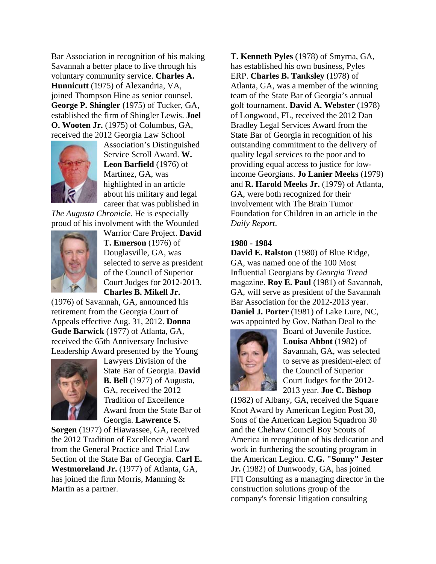Bar Association in recognition of his making Savannah a better place to live through his voluntary community service. **Charles A. Hunnicutt** (1975) of Alexandria, VA, joined Thompson Hine as senior counsel. **George P. Shingler** (1975) of Tucker, GA, established the firm of Shingler Lewis. **Joel O. Wooten Jr.** (1975) of Columbus, GA, received the 2012 Georgia Law School



Association's Distinguished Service Scroll Award. **W. Leon Barfield** (1976) of Martinez, GA, was highlighted in an article about his military and legal career that was published in

*The Augusta Chronicle*. He is especially proud of his involvment with the Wounded



Warrior Care Project. **David T. Emerson** (1976) of Douglasville, GA, was selected to serve as president of the Council of Superior Court Judges for 2012-2013. **Charles B. Mikell Jr.**

(1976) of Savannah, GA, announced his retirement from the Georgia Court of Appeals effective Aug. 31, 2012. **Donna Gude Barwick** (1977) of Atlanta, GA, received the 65th Anniversary Inclusive Leadership Award presented by the Young



Lawyers Division of the State Bar of Georgia. **David B. Bell** (1977) of Augusta, GA, received the 2012 Tradition of Excellence Award from the State Bar of Georgia. **Lawrence S.** 

**Sorgen** (1977) of Hiawassee, GA, received the 2012 Tradition of Excellence Award from the General Practice and Trial Law Section of the State Bar of Georgia. **Carl E. Westmoreland Jr.** (1977) of Atlanta, GA, has joined the firm Morris, Manning & Martin as a partner.

**T. Kenneth Pyles** (1978) of Smyrna, GA, has established his own business, Pyles ERP. **Charles B. Tanksley** (1978) of Atlanta, GA, was a member of the winning team of the State Bar of Georgia's annual golf tournament. **David A. Webster** (1978) of Longwood, FL, received the 2012 Dan Bradley Legal Services Award from the State Bar of Georgia in recognition of his outstanding commitment to the delivery of quality legal services to the poor and to providing equal access to justice for lowincome Georgians. **Jo Lanier Meeks** (1979) and **R. Harold Meeks Jr.** (1979) of Atlanta, GA, were both recognized for their involvement with The Brain Tumor Foundation for Children in an article in the *Daily Report*.

#### **1980 - 1984**

**David E. Ralston** (1980) of Blue Ridge, GA, was named one of the 100 Most Influential Georgians by *Georgia Trend* magazine. **Roy E. Paul** (1981) of Savannah, GA, will serve as president of the Savannah Bar Association for the 2012-2013 year. **Daniel J. Porter** (1981) of Lake Lure, NC, was appointed by Gov. Nathan Deal to the



Board of Juvenile Justice. **Louisa Abbot** (1982) of Savannah, GA, was selected to serve as president-elect of the Council of Superior Court Judges for the 2012- 2013 year. **Joe C. Bishop**

(1982) of Albany, GA, received the Square Knot Award by American Legion Post 30, Sons of the American Legion Squadron 30 and the Chehaw Council Boy Scouts of America in recognition of his dedication and work in furthering the scouting program in the American Legion. **C.G. "Sonny" Jester Jr.** (1982) of Dunwoody, GA, has joined FTI Consulting as a managing director in the construction solutions group of the company's forensic litigation consulting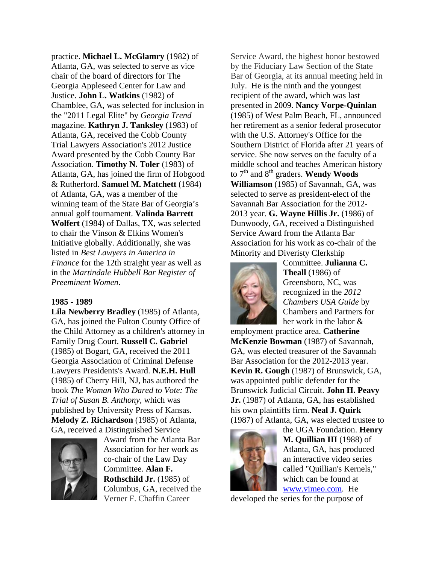practice. **Michael L. McGlamry** (1982) of Atlanta, GA, was selected to serve as vice chair of the board of directors for The Georgia Appleseed Center for Law and Justice. **John L. Watkins** (1982) of Chamblee, GA, was selected for inclusion in the "2011 Legal Elite" by *Georgia Trend* magazine. **Kathryn J. Tanksley** (1983) of Atlanta, GA, received the Cobb County Trial Lawyers Association's 2012 Justice Award presented by the Cobb County Bar Association. **Timothy N. Toler** (1983) of Atlanta, GA, has joined the firm of Hobgood & Rutherford. **Samuel M. Matchett** (1984) of Atlanta, GA, was a member of the winning team of the State Bar of Georgia's annual golf tournament. **Valinda Barrett Wolfert** (1984) of Dallas, TX, was selected to chair the Vinson & Elkins Women's Initiative globally. Additionally, she was listed in *Best Lawyers in America in Finance* for the 12th straight year as well as in the *Martindale Hubbell Bar Register of Preeminent Women*.

#### **1985 - 1989**

**Lila Newberry Bradley** (1985) of Atlanta, GA, has joined the Fulton County Office of the Child Attorney as a children's attorney in Family Drug Court. **Russell C. Gabriel** (1985) of Bogart, GA, received the 2011 Georgia Association of Criminal Defense Lawyers Presidents's Award. **N.E.H. Hull** (1985) of Cherry Hill, NJ, has authored the book *The Woman Who Dared to Vote: The Trial of Susan B. Anthony,* which was published by University Press of Kansas. **Melody Z. Richardson** (1985) of Atlanta, GA, received a Distinguished Service



Award from the Atlanta Bar Association for her work as co-chair of the Law Day Committee. **Alan F. Rothschild Jr.** (1985) of Columbus, GA, received the Verner F. Chaffin Career

Service Award, the highest honor bestowed by the Fiduciary Law Section of the State Bar of Georgia, at its annual meeting held in July. He is the ninth and the youngest recipient of the award, which was last presented in 2009. **Nancy Vorpe-Quinlan** (1985) of West Palm Beach, FL, announced her retirement as a senior federal prosecutor with the U.S. Attorney's Office for the Southern District of Florida after 21 years of service. She now serves on the faculty of a middle school and teaches American history to 7<sup>th</sup> and 8<sup>th</sup> graders. **Wendy Woods Williamson** (1985) of Savannah, GA, was selected to serve as president-elect of the Savannah Bar Association for the 2012- 2013 year. **G. Wayne Hillis Jr.** (1986) of Dunwoody, GA, received a Distinguished Service Award from the Atlanta Bar Association for his work as co-chair of the Minority and Diveristy Clerkship



Committee. **Julianna C. Theall** (1986) of Greensboro, NC, was recognized in the *2012 Chambers USA Guide* by Chambers and Partners for her work in the labor &

employment practice area. **Catherine McKenzie Bowman** (1987) of Savannah, GA, was elected treasurer of the Savannah Bar Association for the 2012-2013 year. **Kevin R. Gough** (1987) of Brunswick, GA, was appointed public defender for the Brunswick Judicial Circuit. **John H. Peavy Jr.** (1987) of Atlanta, GA, has established his own plaintiffs firm. **Neal J. Quirk** (1987) of Atlanta, GA, was elected trustee to



the UGA Foundation. **Henry M. Quillian III** (1988) of Atlanta, GA, has produced an interactive video series called "Quillian's Kernels," which can be found at www.vimeo.com. He

developed the series for the purpose of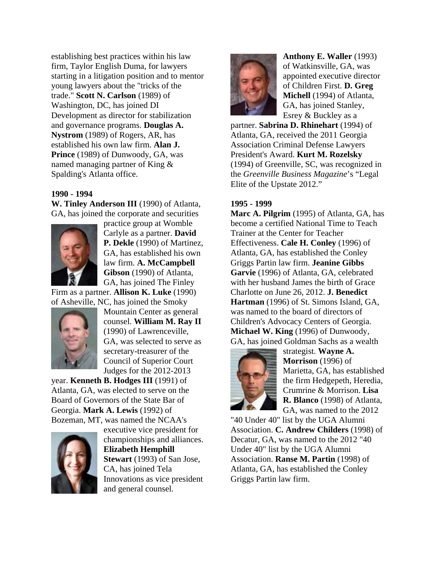establishing best practices within his law firm, Taylor English Duma, for lawyers starting in a litigation position and to mentor young lawyers about the "tricks of the trade." **Scott N. Carlson** (1989) of Washington, DC, has joined DI Development as director for stabilization and governance programs. **Douglas A. Nystrom** (1989) of Rogers, AR, has established his own law firm. **Alan J. Prince** (1989) of Dunwoody, GA, was named managing partner of King & Spalding's Atlanta office.

## **1990 - 1994**

**W. Tinley Anderson III** (1990) of Atlanta, GA, has joined the corporate and securities



practice group at Womble Carlyle as a partner. **David P. Dekle** (1990) of Martinez, GA, has established his own law firm. **A. McCampbell Gibson** (1990) of Atlanta, GA, has joined The Finley

Firm as a partner. **Allison K. Luke** (1990) of Asheville, NC, has joined the Smoky



Mountain Center as general counsel. **William M. Ray II** (1990) of Lawrenceville, GA, was selected to serve as secretary-treasurer of the Council of Superior Court Judges for the 2012-2013

year. **Kenneth B. Hodges III** (1991) of Atlanta, GA, was elected to serve on the Board of Governors of the State Bar of Georgia. **Mark A. Lewis** (1992) of Bozeman, MT, was named the NCAA's



executive vice president for championships and alliances. **Elizabeth Hemphill Stewart** (1993) of San Jose, CA, has joined Tela Innovations as vice president and general counsel.



**Anthony E. Waller** (1993) of Watkinsville, GA, was appointed executive director of Children First. **D. Greg Michell** (1994) of Atlanta, GA, has joined Stanley, Esrey & Buckley as a

partner. **Sabrina D. Rhinehart** (1994) of Atlanta, GA, received the 2011 Georgia Association Criminal Defense Lawyers President's Award. **Kurt M. Rozelsky** (1994) of Greenville, SC, was recognized in the *Greenville Business Magazine*'s "Legal Elite of the Upstate 2012."

## **1995 - 1999**

**Marc A. Pilgrim** (1995) of Atlanta, GA, has become a certified National Time to Teach Trainer at the Center for Teacher Effectiveness. **Cale H. Conley** (1996) of Atlanta, GA, has established the Conley Griggs Partin law firm. **Jeanine Gibbs Garvie** (1996) of Atlanta, GA, celebrated with her husband James the birth of Grace Charlotte on June 26, 2012. **J. Benedict Hartman** (1996) of St. Simons Island, GA, was named to the board of directors of Children's Advocacy Centers of Georgia. **Michael W. King** (1996) of Dunwoody, GA, has joined Goldman Sachs as a wealth



strategist. **Wayne A. Morrison** (1996) of Marietta, GA, has established the firm Hedgepeth, Heredia, Crumrine & Morrison. **Lisa R. Blanco** (1998) of Atlanta, GA, was named to the 2012

"40 Under 40" list by the UGA Alumni Association. **C. Andrew Childers** (1998) of Decatur, GA, was named to the 2012 "40 Under 40" list by the UGA Alumni Association. **Ranse M. Partin** (1998) of Atlanta, GA, has established the Conley Griggs Partin law firm.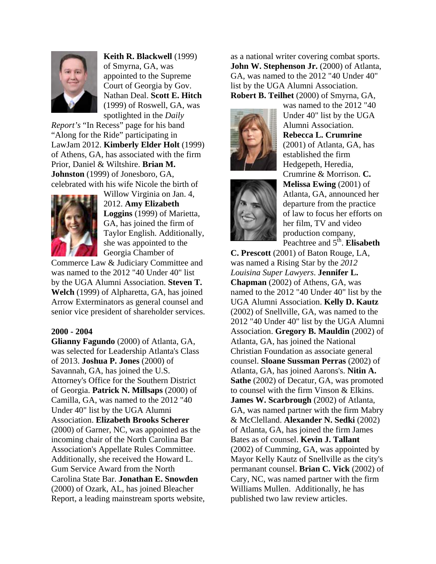

**Keith R. Blackwell** (1999) of Smyrna, GA, was appointed to the Supreme Court of Georgia by Gov. Nathan Deal. **Scott E. Hitch** (1999) of Roswell, GA, was spotlighted in the *Daily* 

*Report's* "In Recess" page for his band "Along for the Ride" participating in LawJam 2012. **Kimberly Elder Holt** (1999) of Athens, GA, has associated with the firm Prior, Daniel & Wiltshire. **Brian M. Johnston** (1999) of Jonesboro, GA, celebrated with his wife Nicole the birth of



Willow Virginia on Jan. 4, 2012. **Amy Elizabeth Loggins** (1999) of Marietta, GA, has joined the firm of Taylor English. Additionally, she was appointed to the Georgia Chamber of

Commerce Law & Judiciary Committee and was named to the 2012 "40 Under 40" list by the UGA Alumni Association. **Steven T. Welch** (1999) of Alpharetta, GA, has joined Arrow Exterminators as general counsel and senior vice president of shareholder services.

## **2000 - 2004**

**Glianny Fagundo** (2000) of Atlanta, GA, was selected for Leadership Atlanta's Class of 2013. **Joshua P. Jones** (2000) of Savannah, GA, has joined the U.S. Attorney's Office for the Southern District of Georgia. **Patrick N. Millsaps** (2000) of Camilla, GA, was named to the 2012 "40 Under 40" list by the UGA Alumni Association. **Elizabeth Brooks Scherer** (2000) of Garner, NC, was appointed as the incoming chair of the North Carolina Bar Association's Appellate Rules Committee. Additionally, she received the Howard L. Gum Service Award from the North Carolina State Bar. **Jonathan E. Snowden** (2000) of Ozark, AL, has joined Bleacher Report, a leading mainstream sports website, as a national writer covering combat sports. **John W. Stephenson Jr.** (2000) of Atlanta, GA, was named to the 2012 "40 Under 40" list by the UGA Alumni Association. **Robert B. Teilhet** (2000) of Smyrna, GA,





was named to the 2012 "40 Under 40" list by the UGA Alumni Association. **Rebecca L. Crumrine** (2001) of Atlanta, GA, has established the firm Hedgepeth, Heredia, Crumrine & Morrison. **C. Melissa Ewing** (2001) of Atlanta, GA, announced her departure from the practice of law to focus her efforts on her film, TV and video production company, Peachtree and  $5^{\text{th}}$ . **Elisabeth** 

**C. Prescott** (2001) of Baton Rouge, LA, was named a Rising Star by the *2012 Louisina Super Lawyers*. **Jennifer L. Chapman** (2002) of Athens, GA, was named to the 2012 "40 Under 40" list by the UGA Alumni Association. **Kelly D. Kautz** (2002) of Snellville, GA, was named to the 2012 "40 Under 40" list by the UGA Alumni Association. **Gregory B. Mauldin** (2002) of Atlanta, GA, has joined the National Christian Foundation as associate general counsel. **Sloane Sussman Perras** (2002) of Atlanta, GA, has joined Aarons's. **Nitin A. Sathe** (2002) of Decatur, GA, was promoted to counsel with the firm Vinson & Elkins. **James W. Scarbrough** (2002) of Atlanta, GA, was named partner with the firm Mabry & McClelland. **Alexander N. Sedki** (2002) of Atlanta, GA, has joined the firm James Bates as of counsel. **Kevin J. Tallant** (2002) of Cumming, GA, was appointed by Mayor Kelly Kautz of Snellville as the city's permanant counsel. **Brian C. Vick** (2002) of Cary, NC, was named partner with the firm Williams Mullen. Additionally, he has published two law review articles.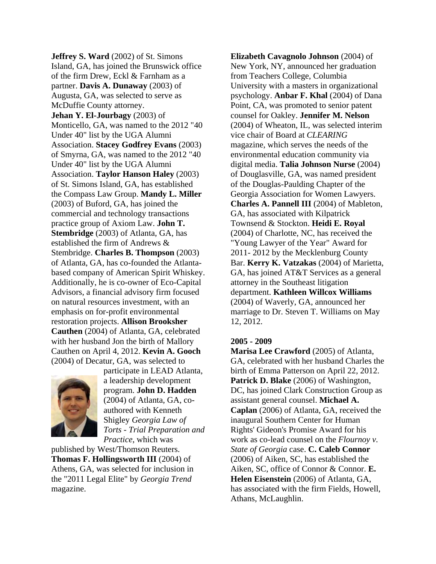**Jeffrey S. Ward** (2002) of St. Simons Island, GA, has joined the Brunswick office of the firm Drew, Eckl & Farnham as a partner. **Davis A. Dunaway** (2003) of Augusta, GA, was selected to serve as McDuffie County attorney. **Jehan Y. El-Jourbagy** (2003) of Monticello, GA, was named to the 2012 "40 Under 40" list by the UGA Alumni Association. **Stacey Godfrey Evans** (2003) of Smyrna, GA, was named to the 2012 "40 Under 40" list by the UGA Alumni Association. **Taylor Hanson Haley** (2003) of St. Simons Island, GA, has established the Compass Law Group. **Mandy L. Miller** (2003) of Buford, GA, has joined the commercial and technology transactions practice group of Axiom Law. **John T. Stembridge** (2003) of Atlanta, GA, has established the firm of Andrews & Stembridge. **Charles B. Thompson** (2003) of Atlanta, GA, has co-founded the Atlantabased company of American Spirit Whiskey. Additionally, he is co-owner of Eco-Capital Advisors, a financial advisory firm focused on natural resources investment, with an emphasis on for-profit environmental restoration projects. **Allison Brooksher Cauthen** (2004) of Atlanta, GA, celebrated with her husband Jon the birth of Mallory Cauthen on April 4, 2012. **Kevin A. Gooch** (2004) of Decatur, GA, was selected to



participate in LEAD Atlanta, a leadership development program. **John D. Hadden** (2004) of Atlanta, GA, coauthored with Kenneth Shigley *Georgia Law of Torts - Trial Preparation and Practice*, which was

published by West/Thomson Reuters. **Thomas F. Hollingsworth III** (2004) of Athens, GA, was selected for inclusion in the "2011 Legal Elite" by *Georgia Trend* magazine.

**Elizabeth Cavagnolo Johnson** (2004) of New York, NY, announced her graduation from Teachers College, Columbia University with a masters in organizational psychology. **Anbar F. Khal** (2004) of Dana Point, CA, was promoted to senior patent counsel for Oakley. **Jennifer M. Nelson** (2004) of Wheaton, IL, was selected interim vice chair of Board at *CLEARING*  magazine, which serves the needs of the environmental education community via digital media. **Talia Johnson Nurse** (2004) of Douglasville, GA, was named president of the Douglas-Paulding Chapter of the Georgia Association for Women Lawyers. **Charles A. Pannell III** (2004) of Mableton, GA, has associated with Kilpatrick Townsend & Stockton. **Heidi E. Royal** (2004) of Charlotte, NC, has received the "Young Lawyer of the Year" Award for 2011- 2012 by the Mecklenburg County Bar. **Kerry K. Vatzakas** (2004) of Marietta, GA, has joined AT&T Services as a general attorney in the Southeast litigation department. **Kathleen Willcox Williams** (2004) of Waverly, GA, announced her marriage to Dr. Steven T. Williams on May 12, 2012.

## **2005 - 2009**

**Marisa Lee Crawford** (2005) of Atlanta, GA, celebrated with her husband Charles the birth of Emma Patterson on April 22, 2012. **Patrick D. Blake** (2006) of Washington, DC, has joined Clark Construction Group as assistant general counsel. **Michael A. Caplan** (2006) of Atlanta, GA, received the inaugural Southern Center for Human Rights' Gideon's Promise Award for his work as co-lead counsel on the *Flournoy v. State of Georgia* case. **C. Caleb Connor** (2006) of Aiken, SC, has established the Aiken, SC, office of Connor & Connor. **E. Helen Eisenstein** (2006) of Atlanta, GA, has associated with the firm Fields, Howell, Athans, McLaughlin.